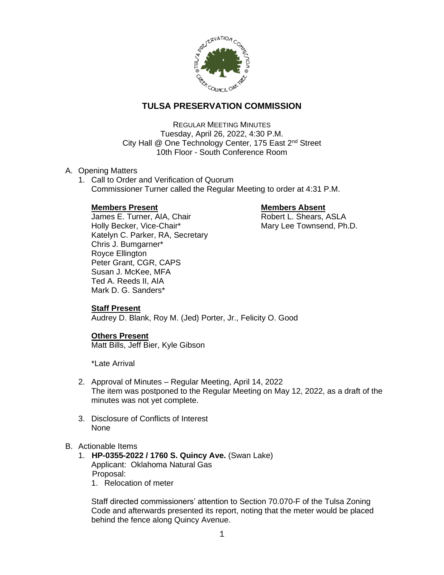

# **TULSA PRESERVATION COMMISSION**

REGULAR MEETING MINUTES Tuesday, April 26, 2022, 4:30 P.M. City Hall @ One Technology Center, 175 East 2<sup>nd</sup> Street 10th Floor - South Conference Room

### A. Opening Matters

1. Call to Order and Verification of Quorum Commissioner Turner called the Regular Meeting to order at 4:31 P.M.

## **Members Present Communist Communist Present Absent**

James E. Turner, AIA, Chair **Robert L. Shears, ASLA** Holly Becker, Vice-Chair\* Mary Lee Townsend, Ph.D. Katelyn C. Parker, RA, Secretary Chris J. Bumgarner\* Royce Ellington Peter Grant, CGR, CAPS Susan J. McKee, MFA Ted A. Reeds II, AIA Mark D. G. Sanders\*

# **Staff Present**

Audrey D. Blank, Roy M. (Jed) Porter, Jr., Felicity O. Good

# **Others Present**

Matt Bills, Jeff Bier, Kyle Gibson

\*Late Arrival

- 2. Approval of Minutes Regular Meeting, April 14, 2022 The item was postponed to the Regular Meeting on May 12, 2022, as a draft of the minutes was not yet complete.
- 3. Disclosure of Conflicts of Interest None

### B. Actionable Items

- 1. **HP-0355-2022 / 1760 S. Quincy Ave.** (Swan Lake) Applicant: Oklahoma Natural Gas Proposal:
	- 1. Relocation of meter

Staff directed commissioners' attention to Section 70.070-F of the Tulsa Zoning Code and afterwards presented its report, noting that the meter would be placed behind the fence along Quincy Avenue.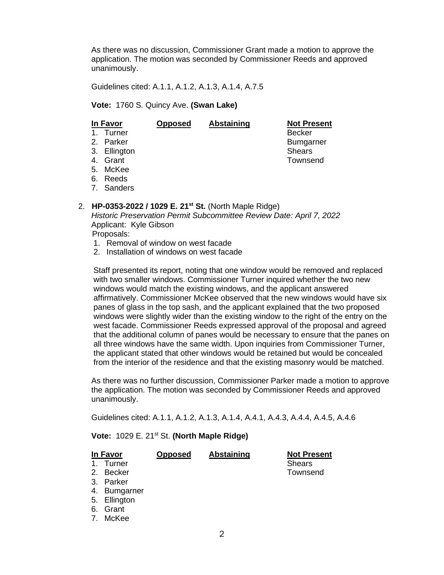As there was no discussion, Commissioner Grant made a motion to approve the application. The motion was seconded by Commissioner Reeds and approved unanimously.

Guidelines cited: A.1.1, A.1.2, A.1.3, A.1.4, A.7.5

#### **Vote:** 1760 S. Quincy Ave. **(Swan Lake)**

| In <u>Favor</u> |              | <b>Opposed</b> | Abstaining | <b>Not Present</b> |
|-----------------|--------------|----------------|------------|--------------------|
|                 | 1. Turner    |                |            | <b>Becker</b>      |
|                 | 2. Parker    |                |            | <b>Bumgarner</b>   |
|                 | 3. Ellington |                |            | <b>Shears</b>      |
|                 | 4. Grant     |                |            | Townsend           |
|                 | 5. McKee     |                |            |                    |
|                 | 6. Reeds     |                |            |                    |
|                 | 7. Sanders   |                |            |                    |

#### 2. **HP-0353-2022 / 1029 E. 21st St.** (North Maple Ridge)

*Historic Preservation Permit Subcommittee Review Date: April 7, 2022* Applicant: Kyle Gibson Proposals:

- 
- 1. Removal of window on west facade
- 2. Installation of windows on west facade

Staff presented its report, noting that one window would be removed and replaced with two smaller windows. Commissioner Turner inquired whether the two new windows would match the existing windows, and the applicant answered affirmatively. Commissioner McKee observed that the new windows would have six panes of glass in the top sash, and the applicant explained that the two proposed windows were slightly wider than the existing window to the right of the entry on the west facade. Commissioner Reeds expressed approval of the proposal and agreed that the additional column of panes would be necessary to ensure that the panes on all three windows have the same width. Upon inquiries from Commissioner Turner, the applicant stated that other windows would be retained but would be concealed from the interior of the residence and that the existing masonry would be matched.

As there was no further discussion, Commissioner Parker made a motion to approve the application. The motion was seconded by Commissioner Reeds and approved unanimously.

Guidelines cited: A.1.1, A.1.2, A.1.3, A.1.4, A.4.1, A.4.3, A.4.4, A.4.5, A.4.6

**Vote:** 1029 E. 21st St. **(North Maple Ridge)**

| In Favor |              | <b>Opposed</b> | <b>Abstaining</b> | <b>Not Present</b> |
|----------|--------------|----------------|-------------------|--------------------|
| 1.       | Turner       |                |                   | <b>Shears</b>      |
|          | 2. Becker    |                |                   | Townsend           |
|          | 3. Parker    |                |                   |                    |
|          | 4. Bumgarner |                |                   |                    |
|          | 5. Ellington |                |                   |                    |
|          | 6. Grant     |                |                   |                    |
|          | 7. McKee     |                |                   |                    |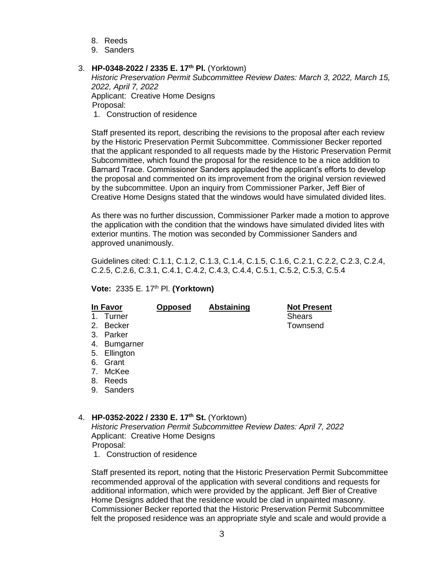- 8. Reeds
- 9. Sanders

## 3. **HP-0348-2022 / 2335 E. 17th Pl.** (Yorktown)

*Historic Preservation Permit Subcommittee Review Dates: March 3, 2022, March 15, 2022, April 7, 2022* Applicant: Creative Home Designs Proposal: 1. Construction of residence

Staff presented its report, describing the revisions to the proposal after each review by the Historic Preservation Permit Subcommittee. Commissioner Becker reported that the applicant responded to all requests made by the Historic Preservation Permit Subcommittee, which found the proposal for the residence to be a nice addition to Barnard Trace. Commissioner Sanders applauded the applicant's efforts to develop the proposal and commented on its improvement from the original version reviewed by the subcommittee. Upon an inquiry from Commissioner Parker, Jeff Bier of Creative Home Designs stated that the windows would have simulated divided lites.

As there was no further discussion, Commissioner Parker made a motion to approve the application with the condition that the windows have simulated divided lites with exterior muntins. The motion was seconded by Commissioner Sanders and approved unanimously.

Guidelines cited: C.1.1, C.1.2, C.1.3, C.1.4, C.1.5, C.1.6, C.2.1, C.2.2, C.2.3, C.2.4, C.2.5, C.2.6, C.3.1, C.4.1, C.4.2, C.4.3, C.4.4, C.5.1, C.5.2, C.5.3, C.5.4

#### **Vote:** 2335 E. 17th Pl. **(Yorktown)**

| In Favor      |              | <b>Opposed</b> | Abstaining | <b>Not Present</b> |
|---------------|--------------|----------------|------------|--------------------|
| $\mathbf 1$ . | Turner       |                |            | <b>Shears</b>      |
| 2.            | Becker       |                |            | Townsend           |
| 3.            | Parker       |                |            |                    |
| 4.            | Bumgarner    |                |            |                    |
|               | 5. Ellington |                |            |                    |
| 6.            | Grant        |                |            |                    |
| 7.            | McKee        |                |            |                    |
| 8.            | Reeds        |                |            |                    |
| 9.            | Sanders      |                |            |                    |
|               |              |                |            |                    |

### 4. **HP-0352-2022 / 2330 E. 17th St.** (Yorktown)

*Historic Preservation Permit Subcommittee Review Dates: April 7, 2022* Applicant: Creative Home Designs Proposal:

1. Construction of residence

Staff presented its report, noting that the Historic Preservation Permit Subcommittee recommended approval of the application with several conditions and requests for additional information, which were provided by the applicant. Jeff Bier of Creative Home Designs added that the residence would be clad in unpainted masonry. Commissioner Becker reported that the Historic Preservation Permit Subcommittee felt the proposed residence was an appropriate style and scale and would provide a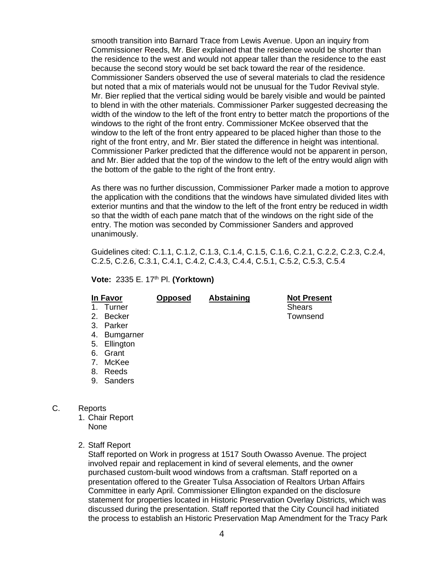smooth transition into Barnard Trace from Lewis Avenue. Upon an inquiry from Commissioner Reeds, Mr. Bier explained that the residence would be shorter than the residence to the west and would not appear taller than the residence to the east because the second story would be set back toward the rear of the residence. Commissioner Sanders observed the use of several materials to clad the residence but noted that a mix of materials would not be unusual for the Tudor Revival style. Mr. Bier replied that the vertical siding would be barely visible and would be painted to blend in with the other materials. Commissioner Parker suggested decreasing the width of the window to the left of the front entry to better match the proportions of the windows to the right of the front entry. Commissioner McKee observed that the window to the left of the front entry appeared to be placed higher than those to the right of the front entry, and Mr. Bier stated the difference in height was intentional. Commissioner Parker predicted that the difference would not be apparent in person, and Mr. Bier added that the top of the window to the left of the entry would align with the bottom of the gable to the right of the front entry.

As there was no further discussion, Commissioner Parker made a motion to approve the application with the conditions that the windows have simulated divided lites with exterior muntins and that the window to the left of the front entry be reduced in width so that the width of each pane match that of the windows on the right side of the entry. The motion was seconded by Commissioner Sanders and approved unanimously.

Guidelines cited: C.1.1, C.1.2, C.1.3, C.1.4, C.1.5, C.1.6, C.2.1, C.2.2, C.2.3, C.2.4, C.2.5, C.2.6, C.3.1, C.4.1, C.4.2, C.4.3, C.4.4, C.5.1, C.5.2, C.5.3, C.5.4

**Vote:** 2335 E. 17th Pl. **(Yorktown)**

| In Favor       |              | <b>Opposed</b> | <b>Abstaining</b> | <b>Not Present</b> |
|----------------|--------------|----------------|-------------------|--------------------|
| $\mathbf{1}$ . | Turner       |                |                   | <b>Shears</b>      |
| 2.             | Becker       |                |                   | Townsend           |
| 3.             | Parker       |                |                   |                    |
| 4.             | Bumgarner    |                |                   |                    |
|                | 5. Ellington |                |                   |                    |
| 6.             | Grant        |                |                   |                    |
| 7 <sub>1</sub> | McKee        |                |                   |                    |
| 8.             | Reeds        |                |                   |                    |
| 9.             | Sanders      |                |                   |                    |
|                |              |                |                   |                    |

- C. Reports
	- 1. Chair Report
		- None
	- 2. Staff Report

Staff reported on Work in progress at 1517 South Owasso Avenue. The project involved repair and replacement in kind of several elements, and the owner purchased custom-built wood windows from a craftsman. Staff reported on a presentation offered to the Greater Tulsa Association of Realtors Urban Affairs Committee in early April. Commissioner Ellington expanded on the disclosure statement for properties located in Historic Preservation Overlay Districts, which was discussed during the presentation. Staff reported that the City Council had initiated the process to establish an Historic Preservation Map Amendment for the Tracy Park